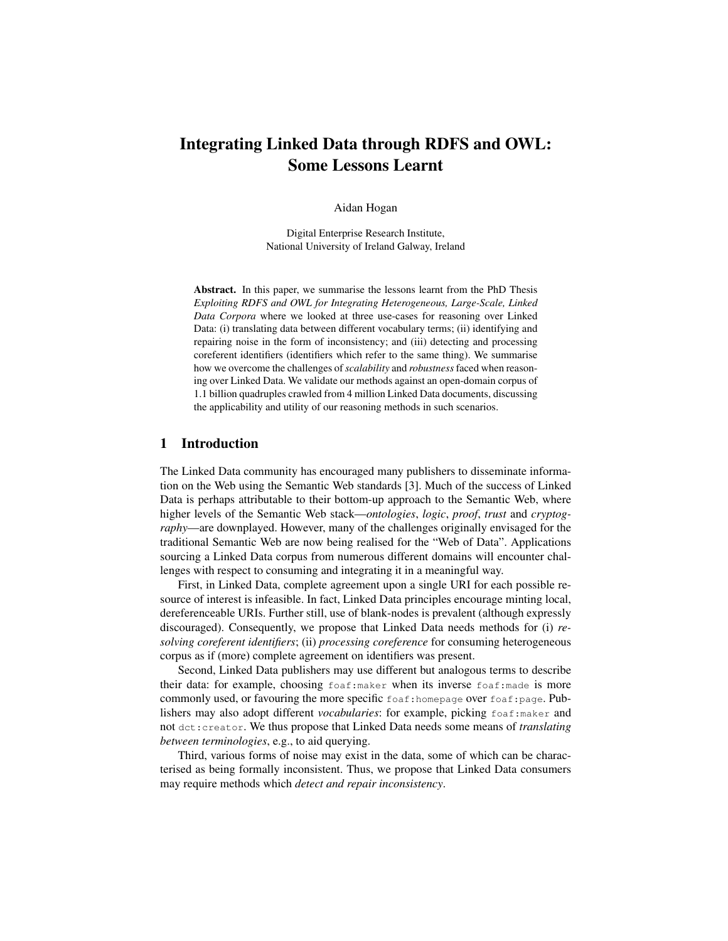# Integrating Linked Data through RDFS and OWL: Some Lessons Learnt

Aidan Hogan

Digital Enterprise Research Institute, National University of Ireland Galway, Ireland

Abstract. In this paper, we summarise the lessons learnt from the PhD Thesis *Exploiting RDFS and OWL for Integrating Heterogeneous, Large-Scale, Linked Data Corpora* where we looked at three use-cases for reasoning over Linked Data: (i) translating data between different vocabulary terms; (ii) identifying and repairing noise in the form of inconsistency; and (iii) detecting and processing coreferent identifiers (identifiers which refer to the same thing). We summarise how we overcome the challenges of*scalability* and *robustness*faced when reasoning over Linked Data. We validate our methods against an open-domain corpus of 1.1 billion quadruples crawled from 4 million Linked Data documents, discussing the applicability and utility of our reasoning methods in such scenarios.

# 1 Introduction

The Linked Data community has encouraged many publishers to disseminate information on the Web using the Semantic Web standards [3]. Much of the success of Linked Data is perhaps attributable to their bottom-up approach to the Semantic Web, where higher levels of the Semantic Web stack—*ontologies*, *logic*, *proof*, *trust* and *cryptography*—are downplayed. However, many of the challenges originally envisaged for the traditional Semantic Web are now being realised for the "Web of Data". Applications sourcing a Linked Data corpus from numerous different domains will encounter challenges with respect to consuming and integrating it in a meaningful way.

First, in Linked Data, complete agreement upon a single URI for each possible resource of interest is infeasible. In fact, Linked Data principles encourage minting local, dereferenceable URIs. Further still, use of blank-nodes is prevalent (although expressly discouraged). Consequently, we propose that Linked Data needs methods for (i) *resolving coreferent identifiers*; (ii) *processing coreference* for consuming heterogeneous corpus as if (more) complete agreement on identifiers was present.

Second, Linked Data publishers may use different but analogous terms to describe their data: for example, choosing foaf:maker when its inverse foaf:made is more commonly used, or favouring the more specific foaf:homepage over foaf:page. Publishers may also adopt different *vocabularies*: for example, picking foaf:maker and not dct:creator. We thus propose that Linked Data needs some means of *translating between terminologies*, e.g., to aid querying.

Third, various forms of noise may exist in the data, some of which can be characterised as being formally inconsistent. Thus, we propose that Linked Data consumers may require methods which *detect and repair inconsistency*.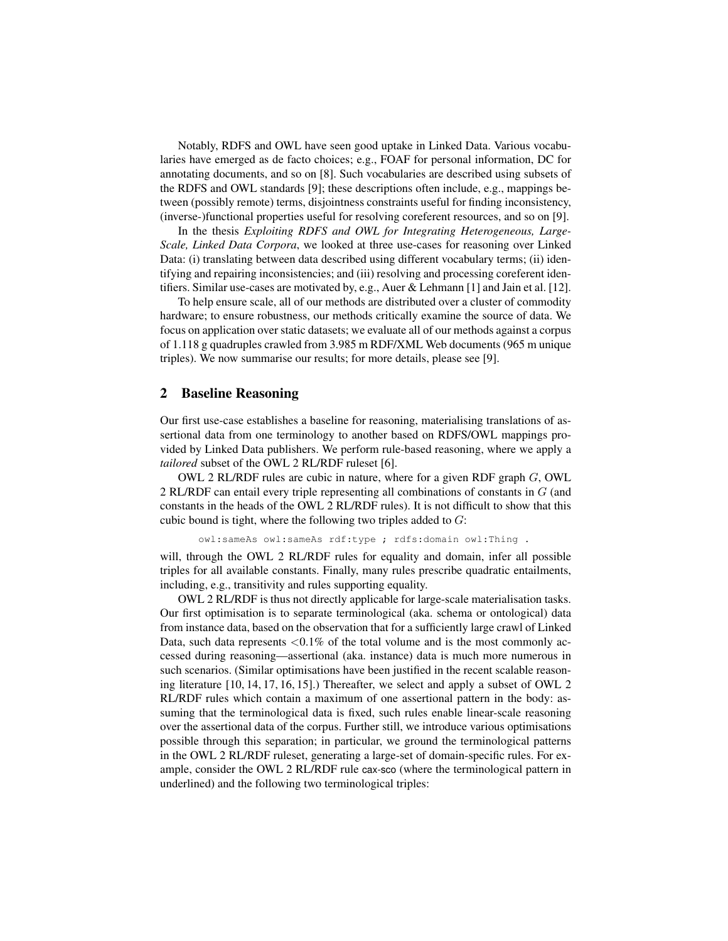Notably, RDFS and OWL have seen good uptake in Linked Data. Various vocabularies have emerged as de facto choices; e.g., FOAF for personal information, DC for annotating documents, and so on [8]. Such vocabularies are described using subsets of the RDFS and OWL standards [9]; these descriptions often include, e.g., mappings between (possibly remote) terms, disjointness constraints useful for finding inconsistency, (inverse-)functional properties useful for resolving coreferent resources, and so on [9].

In the thesis *Exploiting RDFS and OWL for Integrating Heterogeneous, Large-Scale, Linked Data Corpora*, we looked at three use-cases for reasoning over Linked Data: (i) translating between data described using different vocabulary terms; (ii) identifying and repairing inconsistencies; and (iii) resolving and processing coreferent identifiers. Similar use-cases are motivated by, e.g., Auer & Lehmann [1] and Jain et al. [12].

To help ensure scale, all of our methods are distributed over a cluster of commodity hardware; to ensure robustness, our methods critically examine the source of data. We focus on application over static datasets; we evaluate all of our methods against a corpus of 1.118 g quadruples crawled from 3.985 m RDF/XML Web documents (965 m unique triples). We now summarise our results; for more details, please see [9].

#### 2 Baseline Reasoning

Our first use-case establishes a baseline for reasoning, materialising translations of assertional data from one terminology to another based on RDFS/OWL mappings provided by Linked Data publishers. We perform rule-based reasoning, where we apply a *tailored* subset of the OWL 2 RL/RDF ruleset [6].

OWL 2 RL/RDF rules are cubic in nature, where for a given RDF graph G, OWL 2 RL/RDF can entail every triple representing all combinations of constants in G (and constants in the heads of the OWL 2 RL/RDF rules). It is not difficult to show that this cubic bound is tight, where the following two triples added to  $G$ :

owl:sameAs owl:sameAs rdf:type ; rdfs:domain owl:Thing .

will, through the OWL 2 RL/RDF rules for equality and domain, infer all possible triples for all available constants. Finally, many rules prescribe quadratic entailments, including, e.g., transitivity and rules supporting equality.

OWL 2 RL/RDF is thus not directly applicable for large-scale materialisation tasks. Our first optimisation is to separate terminological (aka. schema or ontological) data from instance data, based on the observation that for a sufficiently large crawl of Linked Data, such data represents  $\langle 0.1\%$  of the total volume and is the most commonly accessed during reasoning—assertional (aka. instance) data is much more numerous in such scenarios. (Similar optimisations have been justified in the recent scalable reasoning literature [10, 14, 17, 16, 15].) Thereafter, we select and apply a subset of OWL 2 RL/RDF rules which contain a maximum of one assertional pattern in the body: assuming that the terminological data is fixed, such rules enable linear-scale reasoning over the assertional data of the corpus. Further still, we introduce various optimisations possible through this separation; in particular, we ground the terminological patterns in the OWL 2 RL/RDF ruleset, generating a large-set of domain-specific rules. For example, consider the OWL 2 RL/RDF rule cax-sco (where the terminological pattern in underlined) and the following two terminological triples: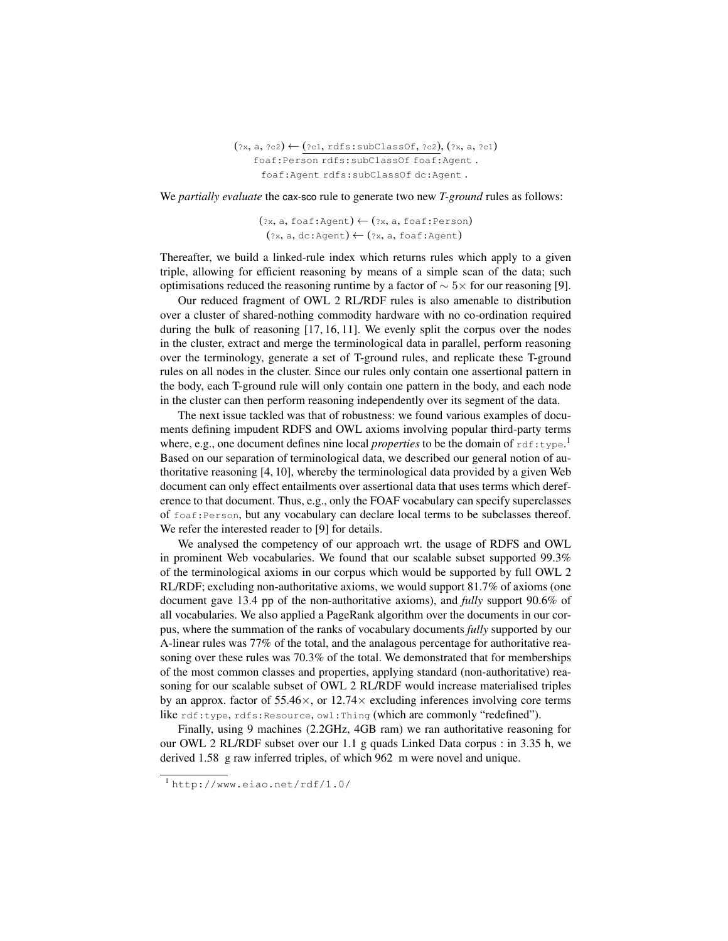$(x, a, 2c2) \leftarrow (2c1, rdfs:subClassOf, 2c2), (2x, a, 2c1)$ foaf:Person rdfs:subClassOf foaf:Agent . foaf:Agent rdfs:subClassOf dc:Agent .

We *partially evaluate* the cax-sco rule to generate two new *T-ground* rules as follows:

 $(x, a, foaf:Agent) \leftarrow (2x, a, foaf:Person)$  $(x, a, dc:$ Agent)  $\leftarrow$   $(x, a, foaf:$ Agent)

Thereafter, we build a linked-rule index which returns rules which apply to a given triple, allowing for efficient reasoning by means of a simple scan of the data; such optimisations reduced the reasoning runtime by a factor of  $\sim$  5× for our reasoning [9].

Our reduced fragment of OWL 2 RL/RDF rules is also amenable to distribution over a cluster of shared-nothing commodity hardware with no co-ordination required during the bulk of reasoning [17, 16, 11]. We evenly split the corpus over the nodes in the cluster, extract and merge the terminological data in parallel, perform reasoning over the terminology, generate a set of T-ground rules, and replicate these T-ground rules on all nodes in the cluster. Since our rules only contain one assertional pattern in the body, each T-ground rule will only contain one pattern in the body, and each node in the cluster can then perform reasoning independently over its segment of the data.

The next issue tackled was that of robustness: we found various examples of documents defining impudent RDFS and OWL axioms involving popular third-party terms where, e.g., one document defines nine local *properties* to be the domain of  $\text{rdf:type}$ . Based on our separation of terminological data, we described our general notion of authoritative reasoning [4, 10], whereby the terminological data provided by a given Web document can only effect entailments over assertional data that uses terms which dereference to that document. Thus, e.g., only the FOAF vocabulary can specify superclasses of foaf:Person, but any vocabulary can declare local terms to be subclasses thereof. We refer the interested reader to [9] for details.

We analysed the competency of our approach wrt. the usage of RDFS and OWL in prominent Web vocabularies. We found that our scalable subset supported 99.3% of the terminological axioms in our corpus which would be supported by full OWL 2 RL/RDF; excluding non-authoritative axioms, we would support 81.7% of axioms (one document gave 13.4 pp of the non-authoritative axioms), and *fully* support 90.6% of all vocabularies. We also applied a PageRank algorithm over the documents in our corpus, where the summation of the ranks of vocabulary documents *fully* supported by our A-linear rules was 77% of the total, and the analagous percentage for authoritative reasoning over these rules was 70.3% of the total. We demonstrated that for memberships of the most common classes and properties, applying standard (non-authoritative) reasoning for our scalable subset of OWL 2 RL/RDF would increase materialised triples by an approx. factor of  $55.46\times$ , or  $12.74\times$  excluding inferences involving core terms like rdf:type, rdfs:Resource, owl:Thing (which are commonly "redefined").

Finally, using 9 machines (2.2GHz, 4GB ram) we ran authoritative reasoning for our OWL 2 RL/RDF subset over our 1.1 g quads Linked Data corpus : in 3.35 h, we derived 1.58 g raw inferred triples, of which 962 m were novel and unique.

<sup>1</sup> http://www.eiao.net/rdf/1.0/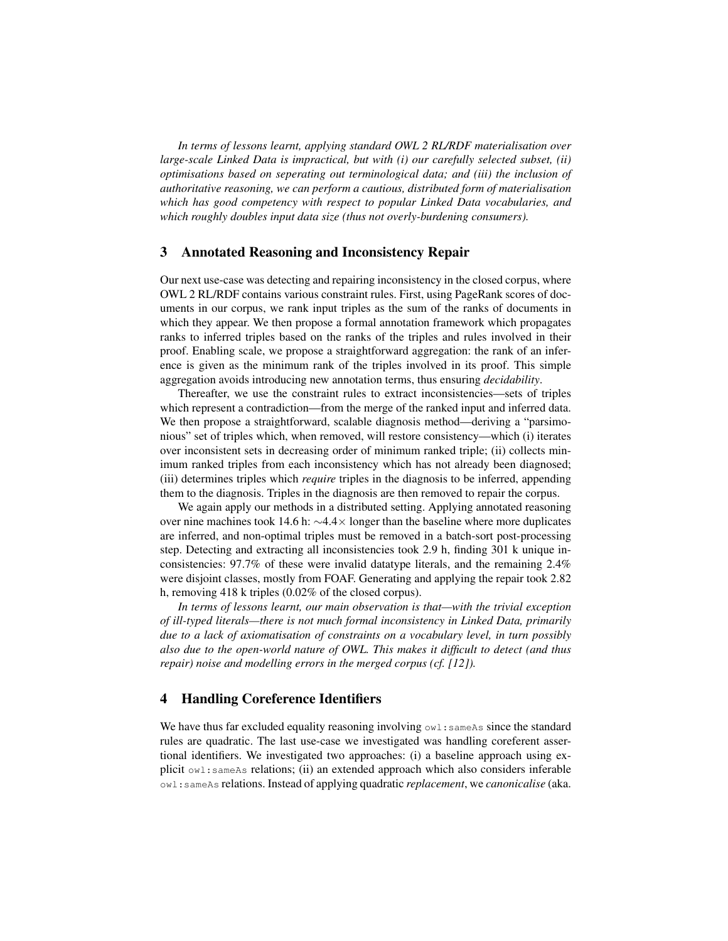*In terms of lessons learnt, applying standard OWL 2 RL/RDF materialisation over large-scale Linked Data is impractical, but with (i) our carefully selected subset, (ii) optimisations based on seperating out terminological data; and (iii) the inclusion of authoritative reasoning, we can perform a cautious, distributed form of materialisation which has good competency with respect to popular Linked Data vocabularies, and which roughly doubles input data size (thus not overly-burdening consumers).*

## 3 Annotated Reasoning and Inconsistency Repair

Our next use-case was detecting and repairing inconsistency in the closed corpus, where OWL 2 RL/RDF contains various constraint rules. First, using PageRank scores of documents in our corpus, we rank input triples as the sum of the ranks of documents in which they appear. We then propose a formal annotation framework which propagates ranks to inferred triples based on the ranks of the triples and rules involved in their proof. Enabling scale, we propose a straightforward aggregation: the rank of an inference is given as the minimum rank of the triples involved in its proof. This simple aggregation avoids introducing new annotation terms, thus ensuring *decidability*.

Thereafter, we use the constraint rules to extract inconsistencies—sets of triples which represent a contradiction—from the merge of the ranked input and inferred data. We then propose a straightforward, scalable diagnosis method—deriving a "parsimonious" set of triples which, when removed, will restore consistency—which (i) iterates over inconsistent sets in decreasing order of minimum ranked triple; (ii) collects minimum ranked triples from each inconsistency which has not already been diagnosed; (iii) determines triples which *require* triples in the diagnosis to be inferred, appending them to the diagnosis. Triples in the diagnosis are then removed to repair the corpus.

We again apply our methods in a distributed setting. Applying annotated reasoning over nine machines took 14.6 h: ∼4.4× longer than the baseline where more duplicates are inferred, and non-optimal triples must be removed in a batch-sort post-processing step. Detecting and extracting all inconsistencies took 2.9 h, finding 301 k unique inconsistencies: 97.7% of these were invalid datatype literals, and the remaining 2.4% were disjoint classes, mostly from FOAF. Generating and applying the repair took 2.82 h, removing 418 k triples (0.02% of the closed corpus).

*In terms of lessons learnt, our main observation is that—with the trivial exception of ill-typed literals—there is not much formal inconsistency in Linked Data, primarily due to a lack of axiomatisation of constraints on a vocabulary level, in turn possibly also due to the open-world nature of OWL. This makes it difficult to detect (and thus repair) noise and modelling errors in the merged corpus (cf. [12]).*

## 4 Handling Coreference Identifiers

We have thus far excluded equality reasoning involving  $\omega$ l: sameAs since the standard rules are quadratic. The last use-case we investigated was handling coreferent assertional identifiers. We investigated two approaches: (i) a baseline approach using explicit owl:sameAs relations; (ii) an extended approach which also considers inferable owl:sameAs relations. Instead of applying quadratic *replacement*, we *canonicalise* (aka.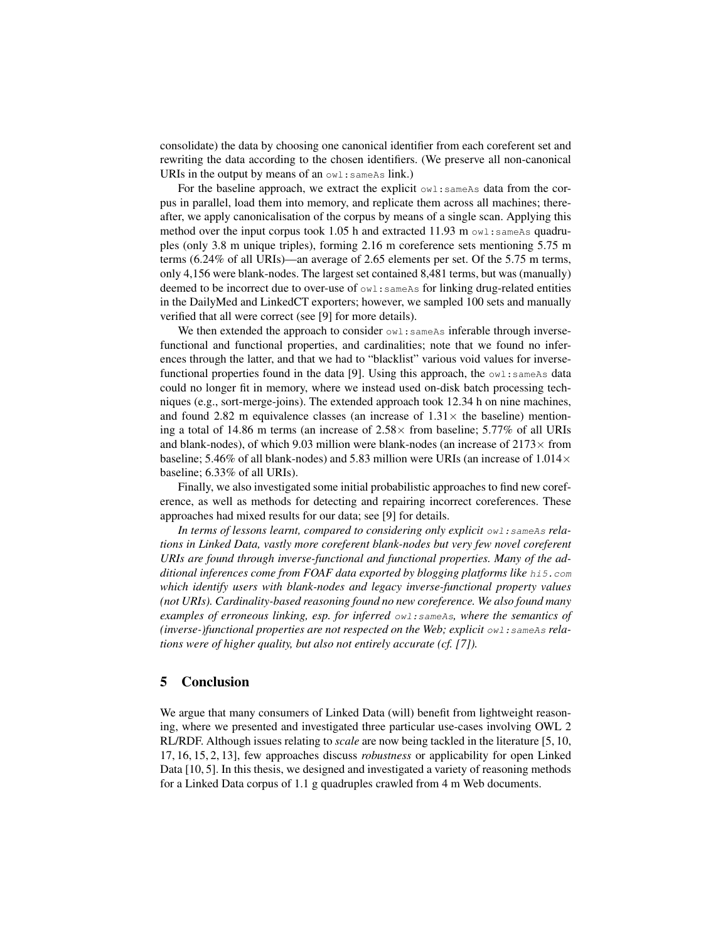consolidate) the data by choosing one canonical identifier from each coreferent set and rewriting the data according to the chosen identifiers. (We preserve all non-canonical URIs in the output by means of an  $\text{ow1:sameAs link.}$ )

For the baseline approach, we extract the explicit owl: sameAs data from the corpus in parallel, load them into memory, and replicate them across all machines; thereafter, we apply canonicalisation of the corpus by means of a single scan. Applying this method over the input corpus took 1.05 h and extracted 11.93 m  $\text{ow1:sameAs}$  quadruples (only 3.8 m unique triples), forming 2.16 m coreference sets mentioning 5.75 m terms (6.24% of all URIs)—an average of 2.65 elements per set. Of the 5.75 m terms, only 4,156 were blank-nodes. The largest set contained 8,481 terms, but was (manually) deemed to be incorrect due to over-use of  $\circ$ wl:sameAs for linking drug-related entities in the DailyMed and LinkedCT exporters; however, we sampled 100 sets and manually verified that all were correct (see [9] for more details).

We then extended the approach to consider  $\alpha w1$ : sameAs inferable through inversefunctional and functional properties, and cardinalities; note that we found no inferences through the latter, and that we had to "blacklist" various void values for inversefunctional properties found in the data [9]. Using this approach, the  $\circ$ wl:sameAs data could no longer fit in memory, where we instead used on-disk batch processing techniques (e.g., sort-merge-joins). The extended approach took 12.34 h on nine machines, and found 2.82 m equivalence classes (an increase of  $1.31 \times$  the baseline) mentioning a total of 14.86 m terms (an increase of  $2.58 \times$  from baseline; 5.77% of all URIs and blank-nodes), of which 9.03 million were blank-nodes (an increase of  $2173\times$  from baseline; 5.46% of all blank-nodes) and 5.83 million were URIs (an increase of  $1.014 \times$ baseline; 6.33% of all URIs).

Finally, we also investigated some initial probabilistic approaches to find new coreference, as well as methods for detecting and repairing incorrect coreferences. These approaches had mixed results for our data; see [9] for details.

In terms of lessons learnt, compared to considering only explicit  $ow1:sameAs$  *relations in Linked Data, vastly more coreferent blank-nodes but very few novel coreferent URIs are found through inverse-functional and functional properties. Many of the additional inferences come from FOAF data exported by blogging platforms like* hi5.com *which identify users with blank-nodes and legacy inverse-functional property values (not URIs). Cardinality-based reasoning found no new coreference. We also found many examples of erroneous linking, esp. for inferred* owl:sameAs*, where the semantics of* (*inverse-*)functional properties are not respected on the Web; explicit  $\omega$ l: sameAs rela*tions were of higher quality, but also not entirely accurate (cf. [7]).*

## 5 Conclusion

We argue that many consumers of Linked Data (will) benefit from lightweight reasoning, where we presented and investigated three particular use-cases involving OWL 2 RL/RDF. Although issues relating to *scale* are now being tackled in the literature [5, 10, 17, 16, 15, 2, 13], few approaches discuss *robustness* or applicability for open Linked Data [10, 5]. In this thesis, we designed and investigated a variety of reasoning methods for a Linked Data corpus of 1.1 g quadruples crawled from 4 m Web documents.